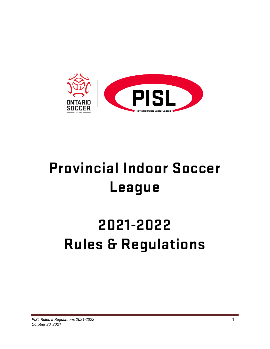

# **Provincial Indoor Soccer League**

# **2021-2022 Rules & Regulations**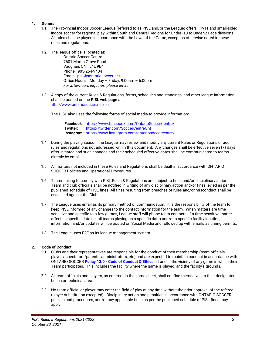#### **1. General**

- 1.1. The Provincial Indoor Soccer League (referred to as PISL and/or the League) offers 11v11 and small-sided indoor soccer for regional play within South and Central Regions for Under -13 to Under-21 age divisions. All rules shall be played in accordance with the Laws of the Game, except as otherwise noted in these rules and regulations.
- 1.2. The league office is located at:

Ontario Soccer Centre 7601 Martin Grove Road Vaughan, ON L4L 9E4 Phone: 905-264-9404 Email: pisl@sontariosoccer.net Office Hours: Monday – Friday, 9:00am – 6:00pm *For after-hours inquiries, please email* 

1.3. A copy of the current Rules & Regulations, forms, schedules and standings, and other league information shall be posted on the **PISL web page** at: http://www.ontariosoccer.net/pisl

The PISL also uses the following forms of social media to provide information:

 **Facebook**: https://www.facebook.com/OntarioSoccerCentre/  **Twitter**: https://twitter.com/SoccerCentreOnt  **Instagram:** https://www.instagram.com/ontariosoccercentre/

- 1.4. During the playing season, the League may review and modify any current Rules or Regulations or add rules and regulations not addressed within this document. Any changes shall be effective seven (7) days after initiated and such changes and their scheduled effective dates shall be communicated to teams directly by email.
- 1.5. All matters not included in these Rules and Regulations shall be dealt in accordance with ONTARIO SOCCER Policies and Operational Procedures.
- 1.6. Teams failing to comply with PISL Rules & Regulations are subject to fines and/or disciplinary action. Team and club officials shall be notified in writing of any disciplinary action and/or fines levied as per the published schedule of PISL fines. All fines resulting from breaches of rules and/or misconduct shall be assessed against the Club.
- 1.7. The League uses email as its primary method of communication. It is the responsibility of the team to keep PISL informed of any changes to the contact information for the team. When matters are time sensitive and specific to a few games, League staff will phone team contacts. If a time sensitive matter affects a specific date (ie. all teams playing on a specific date) and/or a specific facility location, information and/or updates will be posted on Social Media and followed up with emails as timing permits.
- 1.8. The League uses E2E as its league management system.

#### **2. Code of Conduct**

- 2.1. Clubs and their representatives are responsible for the conduct of their membership (team officials, players, spectators/parents, administrators, etc) and are expected to maintain conduct in accordance with ONTARIO SOCCER **Policy 13.0 - Code of Conduct & Ethics** at and in the vicinity of any game in which their Team participates. This includes the facility where the game is played, and the facility's grounds.
- 2.2. All team officials and players, as entered on the game sheet, shall confine themselves to their designated bench or technical area.
- 2.3. No team official or player may enter the field of play at any time without the prior approval of the referee (player substitution excepted). Disciplinary action and penalties in accordance with ONTARIO SOCCER policies and procedures, and/or any applicable fines as per the published schedule of PISL fines may apply.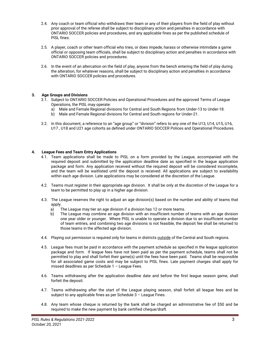- 2.4. Any coach or team official who withdraws their team or any of their players from the field of play without prior approval of the referee shall be subject to disciplinary action and penalties in accordance with ONTARIO SOCCER policies and procedures, and any applicable fines as per the published schedule of PISL fines.
- 2.5. A player, coach or other team official who tries, or does impede, harass or otherwise intimidate a game official or opposing team officials, shall be subject to disciplinary action and penalties in accordance with ONTARIO SOCCER policies and procedures.
- 2.6. In the event of an altercation on the field of play, anyone from the bench entering the field of play during the alteration, for whatever reasons, shall be subject to disciplinary action and penalties in accordance with ONTARIO SOCCER policies and procedures.

#### **3. Age Groups and Divisions**

- 3.1. Subject to ONTARIO SOCCER Policies and Operational Procedures and the approved Terms of League Operations, the PISL may operate:
	- a) Male and Female Regional divisions for Central and South Regions from Under-13 to Under-18.
	- b) Male and Female Regional divisions for Central and South regions for Under-21.
- 3.2. In this document, a reference to an "age group" or "division" refers to any one of the U13, U14, U15, U16, U17 , U18 and U21 age cohorts as defined under ONTARIO SOCCER Polices and Operational Procedures.

#### **4. League Fees and Team Entry Applications**

- 4.1. Team applications shall be made to PISL on a form provided by the League, accompanied with the required deposit and submitted by the application deadline date as specified in the league application package and form. Any application received without the required deposit will be considered incomplete, and the team will be waitlisted until the deposit is received. All applications are subject to availability within each age division. Late applications may be considered at the discretion of the League.
- 4.2. Teams must register in their appropriate age division. It shall be only at the discretion of the League for a team to be permitted to play up in a higher age division.
- 4.3. The League reserves the right to adjust an age division(s) based on the number and ability of teams that apply.
	- a) The League may tier an age division if a division has 12 or more teams.
	- b) The League may combine an age division with an insufficient number of teams with an age division one year older or younger. Where PISL is unable to operate a division due to an insufficient number of team entries, and combining two age divisions is not feasible, the deposit fee shall be returned to those teams in the affected age division.
- 4.4. Playing out permission is required only for teams in districts outside of the Central and South regions.
- 4.5. League fees must be paid in accordance with the payment schedule as specified in the league application package and form. If league fees have not been paid as per the payment schedule, teams shall not be permitted to play and shall forfeit their game(s) until the fees have been paid. Teams shall be responsible for all associated game costs and may be subject to PISL fines. Late payment charges shall apply for missed deadlines as per Schedule 1 – League Fees.
- 4.6. Teams withdrawing after the application deadline date and before the first league season game, shall forfeit the deposit.
- 4.7. Teams withdrawing after the start of the League playing season, shall forfeit all league fees and be subject to any applicable fines as per Schedule 3 – League Fines.
- 4.8. Any team whose cheque is returned by the bank shall be charged an administrative fee of \$50 and be required to make the new payment by bank certified cheque/draft.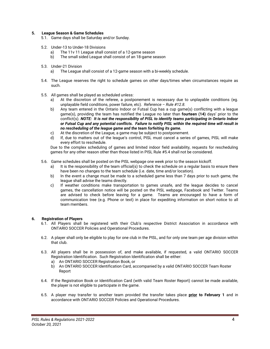#### **5. League Season & Game Schedules**

- 5.1. Game days shall be Saturday and/or Sunday.
- 5.2. Under-13 to Under-18 Divisions
	- a) The 11v 11 League shall consist of a 12-game season
	- b) The small sided League shall consist of an 18-game season
- 5.3. Under-21 Division
	- a) The League shall consist of a 12-game season with a bi-weekly schedule.
- 5.4. The League reserves the right to schedule games on other days/times when circumstances require as such.
- 5.5. All games shall be played as scheduled unless:
	- a) At the discretion of the referee, a postponement is necessary due to unplayable conditions (eg. unplayable field conditions, power failure, etc). *Reference – Rule #12.8.*
	- b) Any team entered in the Ontario Indoor or Futsal Cup has a cup game(s) conflicting with a league game(s), providing the team has notified the League no later than **fourteen (14)** days' prior to the conflict(s). *NOTE: It is not the responsibility of PISL to identify teams participating in Ontario Indoor or Futsal Cup and any potential conflicts. Failure to notify PISL within the required time will result in no rescheduling of the league game and the team forfeiting its game.*
	- c) At the discretion of the League, a game may be subject to postponement.
	- d) If, due to matters out of the league's control, PISL must cancel a series of games, PISL will make every effort to reschedule.

Due to the complex scheduling of games and limited indoor field availability, requests for rescheduling games for any other reason other than those listed in PISL Rule #5.4 shall not be considered.

- 5.6. Game schedules shall be posted on the PISL webpage one week prior to the season kickoff.
	- a) It is the responsibility of the team official(s) to check the schedule on a regular basis to ensure there have been no changes to the team schedule (i.e. date, time and/or location).
	- b) In the event a change must be made to a scheduled game less than 7 days prior to such game, the league shall advise the teams directly.
	- c) If weather conditions make transportation to games unsafe, and the league decides to cancel games, the cancellation notice will be posted on the PISL webpage, Facebook and Twitter. Teams are advised to check before leaving for a game. Teams are encouraged to have a form of communication tree (e.g. Phone or text) in place for expediting information on short notice to all team members.

#### **6. Registration of Players**

- 6.1. All Players shall be registered with their Club's respective District Association in accordance with ONTARIO SOCCER Policies and Operational Procedures.
- 6.2. A player shall only be eligible to play for one club in the PISL, and for only one team per age division within that club.
- 6.3. All players shall be in possession of, and make available, if requested, a valid ONTARIO SOCCER Registration Identification. Such Registration Identification shall be either:
	- a) An ONTARIO SOCCER Registration Book, or
	- b) An ONTARIO SOCCER Identification Card, accompanied by a valid ONTARIO SOCCER Team Roster Report
- 6.4. If the Registration Book or Identification Card (with valid Team Roster Report) cannot be made available, the player is not eligible to participate in the game.
- 6.5. A player may transfer to another team provided the transfer takes place **prior to February 1** and in accordance with ONTARIO SOCCER Policies and Operational Procedures.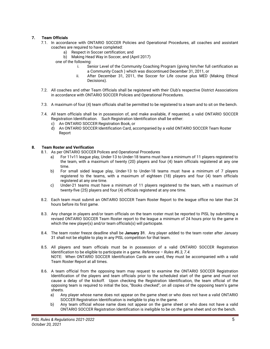#### **7. Team Officials**

- 7.1. In accordance with ONTARIO SOCCER Policies and Operational Procedures, all coaches and assistant coaches are required to have completed:
	- a) Respect in Soccer certification; and
	- b) Making Head Way in Soccer, and (April 2017)
	- one of the following:
		- i. Senior Level of the Community Coaching Program (giving him/her full certification as a Community Coach ) which was discontinued December 31, 2011, or
		- ii. After December 31, 2011, the Soccer for Life course plus MED (Making Ethical Decisions).
- 7.2. All coaches and other Team Officials shall be registered with their Club's respective District Associations in accordance with ONTARIO SOCCER Policies and Operational Procedures.
- 7.3. A maximum of four (4) team officials shall be permitted to be registered to a team and to sit on the bench.
- 7.4. All team officials shall be in possession of, and make available, if requested, a valid ONTARIO SOCCER Registration Identification. Such Registration Identification shall be either:
	- c) An ONTARIO SOCCER Registration Book, or
	- d) An ONTARIO SOCCER Identification Card, accompanied by a valid ONTARIO SOCCER Team Roster Report

#### **8. Team Roster and Verification**

- 8.1. As per ONTARIO SOCCER Polices and Operational Procedures
	- a) For 11v11 league play, Under-13 to Under-18 teams must have a minimum of 11 players registered to the team, with a maximum of twenty (20) players and four (4) team officials registered at any one time.
	- b) For small sided league play, Under-13 to Under-18 teams must have a minimum of 7 players registered to the teams, with a maximum of eighteen (18) players and four (4) team officials registered at any one time.
	- c) Under-21 teams must have a minimum of 11 players registered to the team, with a maximum of twenty-five (25) players and four (4) officials registered at any one time.
- 8.2. Each team must submit an ONTARIO SOCCER Team Roster Report to the league office no later than 24 hours before its first game.
- 8.3. Any change in players and/or team officials on the team roster must be reported to PISL by submitting a revised ONTARIO SOCCER Team Roster report to the league a minimum of 24 hours prior to the game in which the new player(s) and/or team officials(s) will participate.
- 8.4. The team roster freeze deadline shall be **January 31**. Any player added to the team roster after January 31 shall not be eligible to play in any PISL competition for that team.
- 8.5. All players and team officials must be in possession of a valid ONTARIO SOCCER Registration Identification to be eligible to participate in a game. *Reference – Rules #6.3, 7.4.*  NOTE:When ONTARIO SOCCER Identification Cards are used, they must be accompanied with a valid Team Roster Report at all times.
- 8.6. A team official from the opposing team may request to examine the ONTARIO SOCCER Registration Identification of the players and team officials prior to the scheduled start of the game and must not cause a delay of the kickoff. Upon checking the Registration Identification, the team official of the opposing team is required to initial the box, "Books checked", on all copies of the opposing team's game sheets.
	- a) Any player whose name does not appear on the game sheet or who does not have a valid ONTARIO SOCCER Registration Identification is ineligible to play in the game.
	- b) Any team official whose name does not appear on the game sheet or who does not have a valid ONTARIO SOCCER Registration Identification is ineligible to be on the game sheet and on the bench.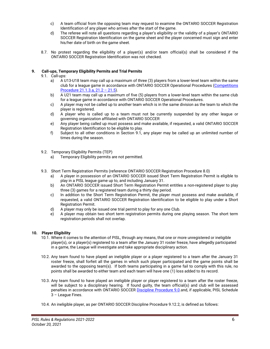- c) A team official from the opposing team may request to examine the ONTARIO SOCCER Registration Identification of any player who arrives after the start of the game.
- d) The referee will note all questions regarding a player's eligibility or the validity of a player's ONTARIO SOCCER Registration Identification on the game sheet and the player concerned must sign and enter his/her date of birth on the game sheet.
- 8.7. No protest regarding the eligibility of a player(s) and/or team official(s) shall be considered if the ONTARIO SOCCER Registration Identification was not checked.

#### **9. Call-ups, Temporary Eligibility Permits and Trial Permits**

- 9.1. Call-ups:
	- a) A U13-U18 team may call up a maximum of three (3) players from a lower-level team within the same club for a league game in accordance with ONTARIO SOCCER Operational Procedures (Competitions Procedure 21.1.3.a, 21.2 – 21.5).
	- b) A U21 team may call up a maximum of five (5) players from a lower-level team within the same club for a league game in accordance with ONTARIO SOCCER Operational Procedures.
	- c) A player may not be called up to another team which is in the same division as the team to which the player is registered.
	- d) A player who is called up to a team must not be currently suspended by any other league or governing organization affiliated with ONTARIO SOCCER
	- e) Any player being called up must possess and make available, if requested, a valid ONTARIO SOCCER Registration Identification to be eligible to play.
	- f) Subject to all other conditions in Section 9.1, any player may be called up an unlimited number of times during the season.
- 9.2. Temporary Eligibility Permits (TEP)
	- a) Temporary Eligibility permits are not permitted.
- 9.3. Short Term Registration Permits (reference ONTARIO SOCCER Registration Procedure 8.0)
	- a) A player in possession of an ONTARIO SOCCER issued Short Term Registration Permit is eligible to play in a PISL league game up to, and including January 31.
	- b) An ONTARIO SOCCER issued Short Term Registration Permit entitles a non-registered player to play three (3) games for a registered team during a thirty day period.
	- c) In addition to the Short Term Registration Permit, the player must possess and make available, if requested, a valid ONTARIO SOCCER Registration Identification to be eligible to play under a Short Registration Permit.
	- d) A player may only be issued one trial permit to play for any one Club.
	- e) A player may obtain two short term registration permits during one playing season. The short term registration periods shall not overlap.

#### **10. Player Eligibility**

- 10.1. Where it comes to the attention of PISL, through any means, that one or more unregistered or ineligible player(s), or a player(s) registered to a team after the January 31 roster freeze, have allegedly participated in a game, the League will investigate and take appropriate disciplinary action.
- 10.2. Any team found to have played an ineligible player or a player registered to a team after the January 31 roster freeze, shall forfeit all the games in which such player participated and the game points shall be awarded to the opposing team(s). If both teams participating in a game fail to comply with this rule, no points shall be awarded to either team and each team will have one (1) loss added to its record.
- 10.3. Any team found to have played an ineligible player or player registered to a team after the roster freeze, will be subject to a disciplinary hearing. If found guilty, the team official(s) and club will be assessed penalties in accordance with ONTARIO SOCCER Discipline Procedure 9.0.and, if applicable, PISL Schedule 3 – League Fines.
- 10.4. An ineligible player, as per ONTARIO SOCCER Discipline Procedure 9.12.2, is defined as follows: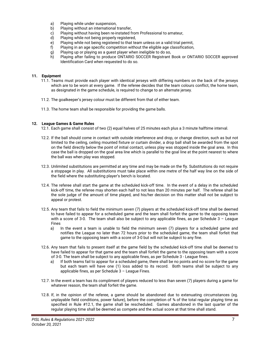- a) Playing while under suspension,
- b) Playing without an international transfer,
- c) Playing without having been re-instated from Professional to amateur,
- d) Playing while not being properly registered,
- e) Playing while not being registered to that team unless on a valid trial permit,
- f) Playing in an age specific competition without the eligible age classification,
- g) Playing up or playing as a guest player when ineligible to do so,
- h) Playing after failing to produce ONTARIO SOCCER Registrant Book or ONTARIO SOCCER approved Identification Card when requested to do so.

#### **11. Equipment**

- 11.1. Teams must provide each player with identical jerseys with differing numbers on the back of the jerseys which are to be worn at every game. If the referee decides that the team colours conflict, the home team, as designated in the game schedule, is required to change to an alternate jersey.
- 11.2. The goalkeeper's jersey colour must be different from that of either team.
- 11.3. The home team shall be responsible for providing the game balls.

#### **12. League Games & Game Rules**

- 12.1. Each game shall consist of two (2) equal halves of 25 minutes each plus a 3 minute halftime interval.
- 12.2. If the ball should come in contact with outside interference and drop, or change direction, such as but not limited to the ceiling, ceiling mounted fixture or curtain divider, a drop ball shall be awarded from the spot on the field directly below the point of initial contact, unless play was stopped inside the goal area. In this case the ball is dropped on the goal area line which is parallel to the goal line at the point nearest to where the ball was when play was stopped.
- 12.3. Unlimited substitutions are permitted at any time and may be made on the fly. Substitutions do not require a stoppage in play. All substitutions must take place within one metre of the half way line on the side of the field where the substituting player's bench is located.
- 12.4. The referee shall start the game at the scheduled kick-off time. In the event of a delay in the scheduled kick-off time, the referee may shorten each half to not less than 20 minutes per half. The referee shall be the sole judge of the amount of time played, and his/her decision on this matter shall not be subject to appeal or protest.
- 12.5. Any team that fails to field the minimum seven (7) players at the scheduled kick-off time shall be deemed to have failed to appear for a scheduled game and the team shall forfeit the game to the opposing team with a score of 3-0. The team shall also be subject to any applicable fines, as per Schedule 3 - League Fines
	- a) In the event a team is unable to field the minimum seven (7) players for a scheduled game and notifies the League no later than 72 hours prior to the scheduled game, the team shall forfeit that game to the opposing team with a score of 3-0 but will not be subject to any fine.
- 12.6. Any team that fails to present itself at the game field by the scheduled kick-off time shall be deemed to have failed to appear for that game and the team shall forfeit the game to the opposing team with a score of 3-0. The team shall be subject to any applicable fines, as per Schedule 3 - League fines.
	- a) If both teams fail to appear for a scheduled game, there shall be no points and no score for the game but each team will have one (1) loss added to its record. Both teams shall be subject to any applicable fines, as per Schedule 3 – League Fines.
- 12.7. In the event a team has its compliment of players reduced to less than seven (7) players during a game for whatever reason, the team shall forfeit the game.
- 12.8. If, in the opinion of the referee, a game should be abandoned due to extenuating circumstances (eg. unplayable field conditions, power failure), before the completion of  $\frac{3}{4}$  of the total regular playing time as specified in Rule #12.1, the game shall be rescheduled. Games abandoned in the last quarter of the regular playing time shall be deemed as compete and the actual score at that time shall stand.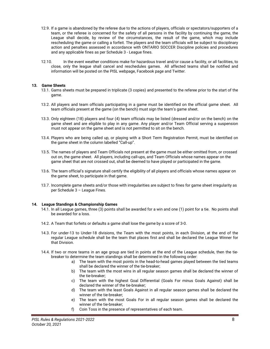- 12.9. If a game is abandoned by the referee due to the actions of players, officials or spectators/supporters of a team, or the referee is concerned for the safety of all persons in the facility by continuing the game, the League shall decide, by review of the circumstances, the result of the game, which may include rescheduling the game or calling a forfeit. The players and the team officials will be subject to disciplinary action and penalties assessed in accordance with ONTARIO SOCCER Discipline policies and procedures and any applicable fines as per Schedule 3 - League fines.
- 12.10. In the event weather conditions make for hazardous travel and/or cause a facility, or all facilities, to close, only the league shall cancel and reschedules games. All affected teams shall be notified and information will be posted on the PISL webpage, Facebook page and Twitter.

#### **13. Game Sheets**

- 13.1. Gams sheets must be prepared in triplicate (3 copies) and presented to the referee prior to the start of the game.
- 13.2. All players and team officials participating in a game must be identified on the official game sheet. All team officials present at the game (on the bench) must sign the team's game sheet.
- 13.3. Only eighteen (18) players and four (4) team officials may be listed (dressed and/or on the bench) on the game sheet and are eligible to play in any game. Any player and/or Team Official serving a suspension must not appear on the game sheet and is not permitted to sit on the bench.
- 13.4. Players who are being called up, or playing with a Short Term Registration Permit, must be identified on the game sheet in the column labelled "Call-up".
- 13.5. The names of players and Team Officials not present at the game must be either omitted from, or crossed out on, the game sheet. All players, including call-ups, and Team Officials whose names appear on the game sheet that are not crossed out, shall be deemed to have played or participated in the game.
- 13.6. The team official's signature shall certify the eligibility of all players and officials whose names appear on the game sheet, to participate in that game.
- 13.7. Incomplete game sheets and/or those with irregularities are subject to fines for game sheet irregularity as per Schedule 3 – League Fines.

#### **14. League Standings & Championship Games**

- 14.1. In all League games, three (3) points shall be awarded for a win and one (1) point for a tie. No points shall be awarded for a loss.
- 14.2. A Team that forfeits or defaults a game shall lose the game by a score of 3-0.
- 14.3. For under-13 to Under-18 divisions, the Team with the most points, in each Division, at the end of the regular League schedule shall be the team that places first and shall be declared the League Winner for that Division.
- 14.4. If two or more teams in an age group are tied in points at the end of the League schedule, then the tiebreaker to determine the team standings shall be determined in the following order:
	- a) The team with the most points in the head-to-head games played between the tied teams shall be declared the winner of the tie-breaker;
	- b) The team with the most wins in all regular season games shall be declared the winner of the tie-breaker;
	- c) The team with the highest Goal Differential (Goals For minus Goals Against) shall be declared the winner of the tie-breaker;
	- d) The team with the least Goals Against in all regular season games shall be declared the winner of the tie-breaker;
	- e) The team with the most Goals For in all regular season games shall be declared the winner of the tie-breaker;
	- f) Coin Toss in the presence of representatives of each team.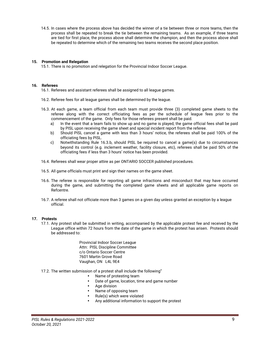14.5. In cases where the process above has decided the winner of a tie between three or more teams, then the process shall be repeated to break the tie between the remaining teams. As an example, if three teams are tied for first place, the process above shall determine the champion, and then the process above shall be repeated to determine which of the remaining two teams receives the second place position.

#### **15. Promotion and Relegation**

15.1. There is no promotion and relegation for the Provincial Indoor Soccer League.

#### **16. Referees**

16.1. Referees and assistant referees shall be assigned to all league games.

- 16.2. Referee fees for all league games shall be determined by the league.
- 16.3. At each game, a team official from each team must provide three (3) completed game sheets to the referee along with the correct officiating fees as per the schedule of league fees prior to the commencement of the game. Only fees for those referees present shall be paid.
	- a) In the event that a team fails to show up and no game is played, the game official fees shall be paid by PISL upon receiving the game sheet and special incident report from the referee.
	- b) Should PISL cancel a game with less than 3 hours' notice, the referees shall be paid 100% of the officiating fees by PISL.
	- c) Notwithstanding Rule 16.3.b, should PISL be required to cancel a game(s) due to circumstances beyond its control (e.g. inclement weather, facility closure, etc), referees shall be paid 50% of the officiating fees if less than 3 hours' notice has been provided.
- 16.4. Referees shall wear proper attire as per ONTARIO SOCCER published procedures.
- 16.5. All game officials must print and sign their names on the game sheet.
- 16.6. The referee is responsible for reporting all game infractions and misconduct that may have occurred during the game, and submitting the completed game sheets and all applicable game reports on Refcentre.
- 16.7. A referee shall not officiate more than 3 games on a given day unless granted an exception by a league official.

#### **17. Protests**

- 17.1. Any protest shall be submitted in writing, accompanied by the applicable protest fee and received by the League office within 72 hours from the date of the game in which the protest has arisen. Protests should be addressed to:
	- Provincial Indoor Soccer League Attn: PISL Discipline Committee c/o Ontario Soccer Centre 7601 Martin Grove Road Vaughan, ON L4L 9E4
- 17.2. The written submission of a protest shall include the following"
	- Name of protesting team
	- Date of game, location, time and game number
	- Age division
	- Name of opposing team
	- Rule(s) which were violated
	- Any additional information to support the protest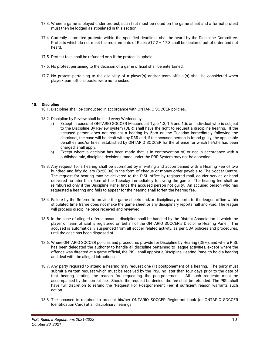- 17.3. Where a game is played under protest, such fact must be noted on the game sheet and a formal protest must then be lodged as stipulated in this section.
- 17.4. Correctly submitted protests within the specified deadlines shall be heard by the Discipline Committee. Protests which do not meet the requirements of Rules #17.2 – 17.3 shall be declared out of order and not heard.
- 17.5. Protest fees shall be refunded only if the protest is upheld.
- 17.6. No protest pertaining to the decision of a game official shall be entertained.
- 17.7. No protest pertaining to the eligibility of a player(s) and/or team official(s) shall be considered when player/team official books were not checked.

#### **18. Discipline**

18.1. Discipline shall be conducted in accordance with ONTARIO SOCCER policies.

- 18.2. Discipline by Review shall be held every Wednesday.
	- a) Except in cases of ONTARIO SOCCER Misconduct Type 1.3, 1.5 and 1.6, an individual who is subject to the Discipline By Review system (DBR) shall have the right to request a discipline hearing. If the accused person does not request a hearing by 5pm on the Tuesday immediately following the dismissal, the case will be dealt with by DBR and, if the accused person is found guilty, the applicable penalties and/or fines, established by ONTARIO SOCCER for the offence for which he/she has been charged, shall apply.
	- b) Except where a decision has been made that is in contravention of, or not in accordance with a published rule, discipline decisions made under the DBR System may not be appealed.
- 18.3. Any request for a hearing shall be submitted by in writing and accompanied with a Hearing Fee of two hundred and fifty dollars (\$250.00) in the form of cheque or money order payable to The Soccer Centre. The request for hearing may be delivered to the PISL office by registered mail, courier service or hand delivered no later than 5pm of the Tuesday immediately following the game. The hearing fee shall be reimbursed only if the Discipline Panel finds the accused person not guilty. An accused person who has requested a hearing and fails to appear for the hearing shall forfeit the hearing fee.
- 18.4. Failure by the Referee to provide the game sheets and/or disciplinary reports to the league office within stipulated time frame does not make the game sheet or any disciplinary reports null and void. The league will process discipline once received and reviewed.
- 18.5. In the case of alleged referee assault, discipline shall be handled by the District Association in which the player or team official is registered on behalf of the ONTARIO SOCCER's Discipline Hearing Panel. The accused is automatically suspended from all soccer related activity, as per OSA policies and procedures, until the case has been disposed of.
- 18.6. Where ONTARIO SOCCER policies and procedures provide for Discipline by Hearing (DBH), and where PISL has been delegated the authority to handle all discipline pertaining to league activities, except where the offence was directed at a game official, the PISL shall appoint a Discipline Hearing Panel to hold a hearing and deal with the alleged infractions.
- 18.7. Any party required to attend a hearing may request one (1) postponement of a hearing. The party must submit a written request which must be received by the PISL no later than four days prior to the date of that hearing, stating the reason for requesting the postponement. All such requests must be accompanied by the correct fee. Should the request be denied, the fee shall be refunded. The PISL shall have full discretion to refund the "Request For Postponement Fee" if sufficient reason warrants such action.
- 18.8. The accused is required to present his/her ONTARIO SOCCER Registrant book (or ONTARIO SOCCER Identification Card) at all disciplinary hearings.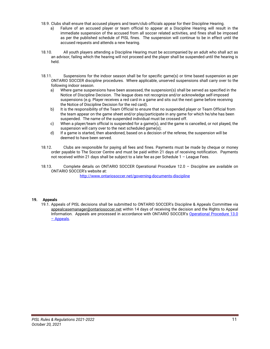- 18.9. Clubs shall ensure that accused players and team/club officials appear for their Discipline Hearing.
	- a) Failure of an accused player or team official to appear at a Discipline Hearing will result in the immediate suspension of the accused from all soccer related activities, and fines shall be imposed as per the published schedule of PISL fines. The suspension will continue to be in effect until the accused requests and attends a new hearing.
- 18.10. All youth players attending a Discipline Hearing must be accompanied by an adult who shall act as an advisor, failing which the hearing will not proceed and the player shall be suspended until the hearing is held.
- 18.11. Suspensions for the indoor season shall be for specific game(s) or time based suspension as per ONTARIO SOCCER discipline procedures. Where applicable, unserved suspensions shall carry over to the following indoor season.
	- a) Where game suspensions have been assessed, the suspension(s) shall be served as specified in the Notice of Discipline Decision. The league does not recognize and/or acknowledge self-imposed suspensions (e.g. Player receives a red card in a game and sits out the next game before receiving the Notice of Discipline Decision for the red card).
	- b) It is the responsibility of the Team Official to ensure that no suspended player or Team Official from the team appear on the game sheet and/or play/participate in any game for which he/she has been suspended. The name of the suspended individual must be crossed off.
	- c) When a player/team official is suspended for a game(s), and the game is cancelled, or not played, the suspension will carry over to the next scheduled game(s);
	- d) If a game is started, then abandoned, based on a decision of the referee, the suspension will be deemed to have been served.
- 18.12. Clubs are responsible for paying all fees and fines. Payments must be made by cheque or money order payable to The Soccer Centre and must be paid within 21 days of receiving notification. Payments not received within 21 days shall be subject to a late fee as per Schedule 1 – League Fees.
- 18.13. Complete details on ONTARIO SOCCER Operational Procedure 12.0 Discipline are available on ONTARIO SOCCER's website at:

http://www.ontariosoccer.net/governing-documents-discipline

#### **19. Appeals**

19.1. Appeals of PISL decisions shall be submitted to ONTARIO SOCCER's Discipline & Appeals Committee via appealcasemanager@ontariosoccer.net within 14 days of receiving the decision and the Rights to Appeal Information. Appeals are processed in accordance with ONTARIO SOCCER's Operational Procedure 13.0 – Appeals.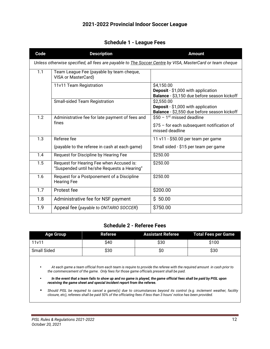## **2021-2022 Provincial Indoor Soccer League**

### **Schedule 1 - League Fees**

| Code                                                                                                             | <b>Description</b>                                                                      | <b>Amount</b>                                                                                   |  |  |  |
|------------------------------------------------------------------------------------------------------------------|-----------------------------------------------------------------------------------------|-------------------------------------------------------------------------------------------------|--|--|--|
| Unless otherwise specified, all fees are payable to <b>The Soccer Centre by VISA</b> , MasterCard or team cheque |                                                                                         |                                                                                                 |  |  |  |
| 1.1                                                                                                              | Team League Fee (payable by team cheque,<br>VISA or MasterCard)                         |                                                                                                 |  |  |  |
|                                                                                                                  | 11v11 Team Registration                                                                 | \$4,150.00<br>Deposit - \$1,000 with application<br>Balance - \$3,150 due before season kickoff |  |  |  |
|                                                                                                                  | <b>Small-sided Team Registration</b>                                                    | \$2,550.00<br>Deposit - \$1,000 with application<br>Balance - \$2,550 due before season kickoff |  |  |  |
| 1.2                                                                                                              | Administrative fee for late payment of fees and                                         | $$50 - 1st$ missed deadline                                                                     |  |  |  |
|                                                                                                                  | fines                                                                                   | $$75$ – for each subsequent notification of<br>missed deadline                                  |  |  |  |
| 1.3                                                                                                              | Referee fee                                                                             | 11 v11 - \$50.00 per team per game                                                              |  |  |  |
|                                                                                                                  | (payable to the referee in cash at each game)                                           | Small sided - \$15 per team per game                                                            |  |  |  |
| 1.4                                                                                                              | Request for Discipline by Hearing Fee                                                   | \$250.00                                                                                        |  |  |  |
| 1.5                                                                                                              | Request for Hearing Fee when Accused is:<br>"Suspended until he/she Requests a Hearing" | \$250.00                                                                                        |  |  |  |
| 1.6                                                                                                              | Request for a Postponement of a Discipline<br><b>Hearing Fee</b>                        | \$250.00                                                                                        |  |  |  |
| 1.7                                                                                                              | Protest fee                                                                             | \$200.00                                                                                        |  |  |  |
| 1.8                                                                                                              | Administrative fee for NSF payment                                                      | \$50.00                                                                                         |  |  |  |
| 1.9                                                                                                              | Appeal fee (payable to ONTARIO SOCCER)                                                  | \$750.00                                                                                        |  |  |  |

### **Schedule 2 - Referee Fees**

| <b>Age Group</b> | Referee |      | <b>Assistant Referee Total Fees per Game</b> |
|------------------|---------|------|----------------------------------------------|
| 11v11            | S40     | \$30 | \$100                                        |
| Small Sided      | \$30    | \$O  | \$30                                         |

• *At each game a team official from each team is require to provide the referee with the required amount in cash prior to the commencement of the game. Only fees for those game officials present shall be paid.* 

• *In the event that a team fails to show up and no game is played, the game official fees shall be paid by PISL upon receiving the game sheet and special incident report from the referee.*

• *Should PISL be required to cancel a game(s) due to circumstances beyond its control (e.g. inclement weather, facility closure, etc), referees shall be paid 50% of the officiating fees if less than 3 hours' notice has been provided.*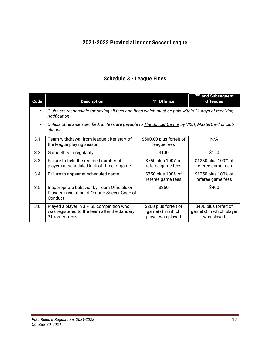# **2021-2022 Provincial Indoor Soccer League**

## **Schedule 3 - League Fines**

| Code | <b>Description</b>                                                                                                 | 1 <sup>st</sup> Offence                                        | 2 <sup>nd</sup> and Subsequent<br><b>Offences</b>              |  |  |
|------|--------------------------------------------------------------------------------------------------------------------|----------------------------------------------------------------|----------------------------------------------------------------|--|--|
|      | Clubs are responsible for paying all fees and fines which must be paid within 21 days of receiving<br>notification |                                                                |                                                                |  |  |
|      | Unless otherwise specified, all fees are payable to <b>The Soccer Centre</b> by VISA, MasterCard or club<br>cheque |                                                                |                                                                |  |  |
| 3.1  | Team withdrawal from league after start of<br>the league playing season                                            | \$500.00 plus forfeit of<br>league fees                        | N/A                                                            |  |  |
| 3.2  | <b>Game Sheet irregularity</b>                                                                                     | \$100                                                          | \$150                                                          |  |  |
| 3.3  | Failure to field the required number of<br>players at scheduled kick-off time of game                              | \$750 plus 100% of<br>referee game fees                        | \$1250 plus 100% of<br>referee game fees                       |  |  |
| 3.4  | Failure to appear at scheduled game                                                                                | \$750 plus 100% of<br>referee game fees                        | \$1250 plus 100% of<br>referee game fees                       |  |  |
| 3.5  | Inappropriate behavior by Team Officials or<br>Players in violation of Ontario Soccer Code of<br>Conduct           | \$250                                                          | \$400                                                          |  |  |
| 3.6  | Played a player in a PISL competition who<br>was registered to the team after the January<br>31 roster freeze      | \$200 plus forfeit of<br>game(s) in which<br>player was played | \$400 plus forfeit of<br>game(s) in which player<br>was played |  |  |